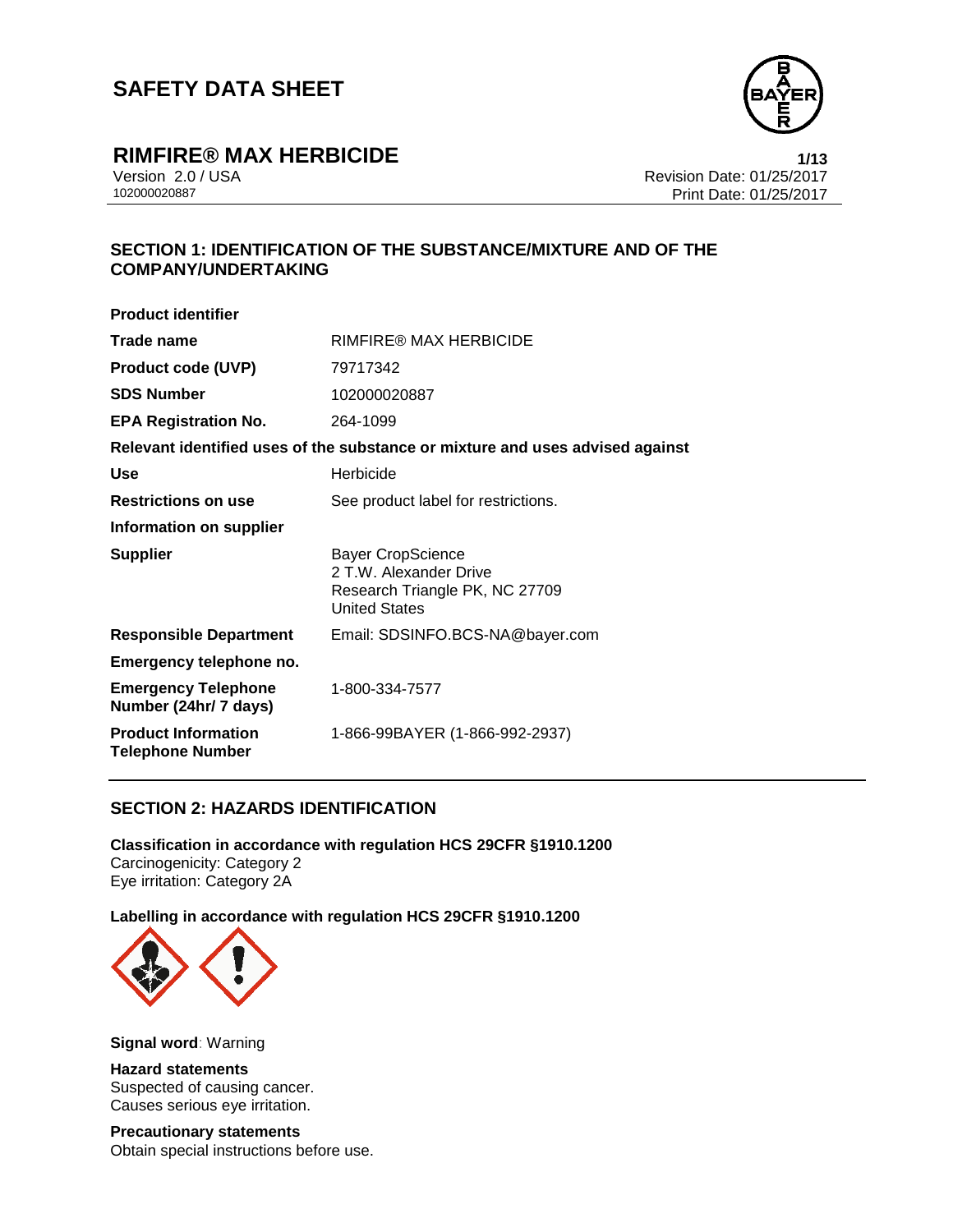

## **RIMFIRE® MAX HERBICIDE 1/13**

Version 2.0 / USA Revision Date: 01/25/2017<br>102000020887<br>Print Date: 01/25/2017 Print Date: 01/25/2017

## **SECTION 1: IDENTIFICATION OF THE SUBSTANCE/MIXTURE AND OF THE COMPANY/UNDERTAKING**

| <b>Product identifier</b>                             |                                                                                                              |  |  |
|-------------------------------------------------------|--------------------------------------------------------------------------------------------------------------|--|--|
| Trade name                                            | RIMFIRE® MAX HERBICIDE                                                                                       |  |  |
| <b>Product code (UVP)</b>                             | 79717342                                                                                                     |  |  |
| <b>SDS Number</b>                                     | 102000020887                                                                                                 |  |  |
| <b>EPA Registration No.</b>                           | 264-1099                                                                                                     |  |  |
|                                                       | Relevant identified uses of the substance or mixture and uses advised against                                |  |  |
| <b>Use</b>                                            | Herbicide                                                                                                    |  |  |
| <b>Restrictions on use</b>                            | See product label for restrictions.                                                                          |  |  |
| Information on supplier                               |                                                                                                              |  |  |
| <b>Supplier</b>                                       | <b>Bayer CropScience</b><br>2 T.W. Alexander Drive<br>Research Triangle PK, NC 27709<br><b>United States</b> |  |  |
| <b>Responsible Department</b>                         | Email: SDSINFO.BCS-NA@bayer.com                                                                              |  |  |
| Emergency telephone no.                               |                                                                                                              |  |  |
| <b>Emergency Telephone</b><br>Number (24hr/ 7 days)   | 1-800-334-7577                                                                                               |  |  |
| <b>Product Information</b><br><b>Telephone Number</b> | 1-866-99BAYER (1-866-992-2937)                                                                               |  |  |

### **SECTION 2: HAZARDS IDENTIFICATION**

**Classification in accordance with regulation HCS 29CFR §1910.1200** Carcinogenicity: Category 2 Eye irritation: Category 2A

**Labelling in accordance with regulation HCS 29CFR §1910.1200**



**Signal word**: Warning

**Hazard statements** Suspected of causing cancer. Causes serious eye irritation.

**Precautionary statements** Obtain special instructions before use.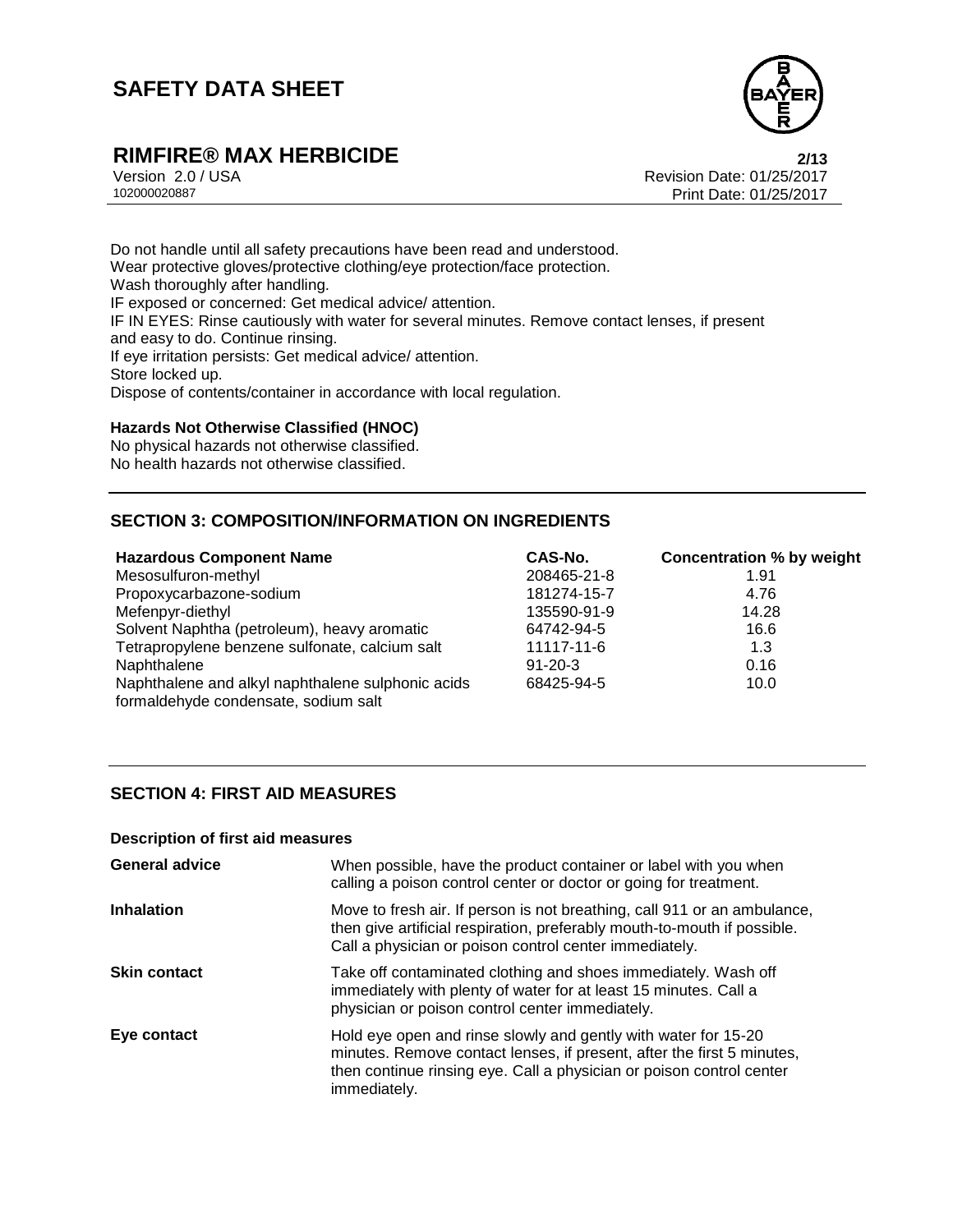

# **RIMFIRE® MAX HERBICIDE**<br>Version 2.0 / USA **Properties Access 2/13**<br>Revision Date: 01/25/2017

Version 2.0 / USA Revision Date: 01/25/2017<br>102000020887<br>Print Date: 01/25/2017 Print Date: 01/25/2017

Do not handle until all safety precautions have been read and understood. Wear protective gloves/protective clothing/eye protection/face protection. Wash thoroughly after handling. IF exposed or concerned: Get medical advice/ attention. IF IN EYES: Rinse cautiously with water for several minutes. Remove contact lenses, if present and easy to do. Continue rinsing. If eye irritation persists: Get medical advice/ attention. Store locked up. Dispose of contents/container in accordance with local regulation.

#### **Hazards Not Otherwise Classified (HNOC)**

No physical hazards not otherwise classified. No health hazards not otherwise classified.

## **SECTION 3: COMPOSITION/INFORMATION ON INGREDIENTS**

| <b>Hazardous Component Name</b>                                                           | CAS-No.       | <b>Concentration % by weight</b> |
|-------------------------------------------------------------------------------------------|---------------|----------------------------------|
| Mesosulfuron-methyl                                                                       | 208465-21-8   | 1.91                             |
| Propoxycarbazone-sodium                                                                   | 181274-15-7   | 4.76                             |
| Mefenpyr-diethyl                                                                          | 135590-91-9   | 14.28                            |
| Solvent Naphtha (petroleum), heavy aromatic                                               | 64742-94-5    | 16.6                             |
| Tetrapropylene benzene sulfonate, calcium salt                                            | 11117-11-6    | 1.3                              |
| Naphthalene                                                                               | $91 - 20 - 3$ | 0.16                             |
| Naphthalene and alkyl naphthalene sulphonic acids<br>formaldehyde condensate, sodium salt | 68425-94-5    | 10.0                             |

### **SECTION 4: FIRST AID MEASURES**

#### **Description of first aid measures**

| <b>General advice</b> | When possible, have the product container or label with you when<br>calling a poison control center or doctor or going for treatment.                                                                                            |
|-----------------------|----------------------------------------------------------------------------------------------------------------------------------------------------------------------------------------------------------------------------------|
| <b>Inhalation</b>     | Move to fresh air. If person is not breathing, call 911 or an ambulance,<br>then give artificial respiration, preferably mouth-to-mouth if possible.<br>Call a physician or poison control center immediately.                   |
| <b>Skin contact</b>   | Take off contaminated clothing and shoes immediately. Wash off<br>immediately with plenty of water for at least 15 minutes. Call a<br>physician or poison control center immediately.                                            |
| Eye contact           | Hold eye open and rinse slowly and gently with water for 15-20<br>minutes. Remove contact lenses, if present, after the first 5 minutes,<br>then continue rinsing eye. Call a physician or poison control center<br>immediately. |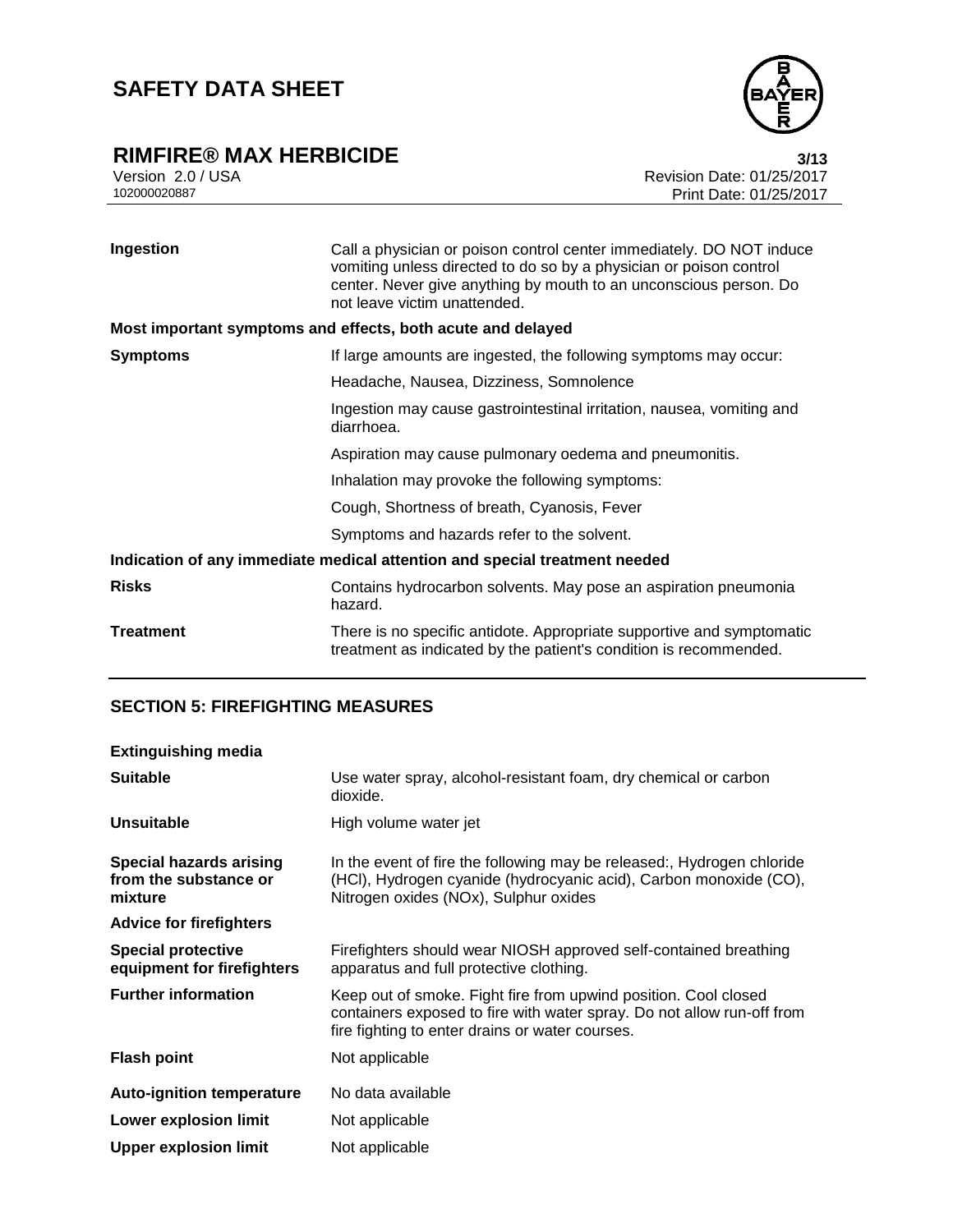

# **RIMFIRE® MAX HERBICIDE**<br>Version 2.0 / USA **bigger and Secure 2.0 / USA bigger and Secure 2.0 / USA bigger bigger bigger bigger bigger**

Version 2.0 / USA Revision Date: 01/25/2017<br>102000020887<br>Print Date: 01/25/2017 Print Date: 01/25/2017

| Ingestion        | Call a physician or poison control center immediately. DO NOT induce<br>vomiting unless directed to do so by a physician or poison control<br>center. Never give anything by mouth to an unconscious person. Do<br>not leave victim unattended. |
|------------------|-------------------------------------------------------------------------------------------------------------------------------------------------------------------------------------------------------------------------------------------------|
|                  | Most important symptoms and effects, both acute and delayed                                                                                                                                                                                     |
| <b>Symptoms</b>  | If large amounts are ingested, the following symptoms may occur:                                                                                                                                                                                |
|                  | Headache, Nausea, Dizziness, Somnolence                                                                                                                                                                                                         |
|                  | Ingestion may cause gastrointestinal irritation, nausea, vomiting and<br>diarrhoea.                                                                                                                                                             |
|                  | Aspiration may cause pulmonary oedema and pneumonitis.                                                                                                                                                                                          |
|                  | Inhalation may provoke the following symptoms:                                                                                                                                                                                                  |
|                  | Cough, Shortness of breath, Cyanosis, Fever                                                                                                                                                                                                     |
|                  | Symptoms and hazards refer to the solvent.                                                                                                                                                                                                      |
|                  | Indication of any immediate medical attention and special treatment needed                                                                                                                                                                      |
| <b>Risks</b>     | Contains hydrocarbon solvents. May pose an aspiration pneumonia<br>hazard.                                                                                                                                                                      |
| <b>Treatment</b> | There is no specific antidote. Appropriate supportive and symptomatic<br>treatment as indicated by the patient's condition is recommended.                                                                                                      |

## **SECTION 5: FIREFIGHTING MEASURES**

| <b>Extinguishing media</b>                                         |                                                                                                                                                                                              |
|--------------------------------------------------------------------|----------------------------------------------------------------------------------------------------------------------------------------------------------------------------------------------|
| <b>Suitable</b>                                                    | Use water spray, alcohol-resistant foam, dry chemical or carbon<br>dioxide.                                                                                                                  |
| Unsuitable                                                         | High volume water jet                                                                                                                                                                        |
| <b>Special hazards arising</b><br>from the substance or<br>mixture | In the event of fire the following may be released:, Hydrogen chloride<br>(HCI), Hydrogen cyanide (hydrocyanic acid), Carbon monoxide (CO),<br>Nitrogen oxides (NOx), Sulphur oxides         |
| <b>Advice for firefighters</b>                                     |                                                                                                                                                                                              |
| <b>Special protective</b><br>equipment for firefighters            | Firefighters should wear NIOSH approved self-contained breathing<br>apparatus and full protective clothing.                                                                                  |
| <b>Further information</b>                                         | Keep out of smoke. Fight fire from upwind position. Cool closed<br>containers exposed to fire with water spray. Do not allow run-off from<br>fire fighting to enter drains or water courses. |
| <b>Flash point</b>                                                 | Not applicable                                                                                                                                                                               |
| <b>Auto-ignition temperature</b>                                   | No data available                                                                                                                                                                            |
| <b>Lower explosion limit</b>                                       | Not applicable                                                                                                                                                                               |
| <b>Upper explosion limit</b>                                       | Not applicable                                                                                                                                                                               |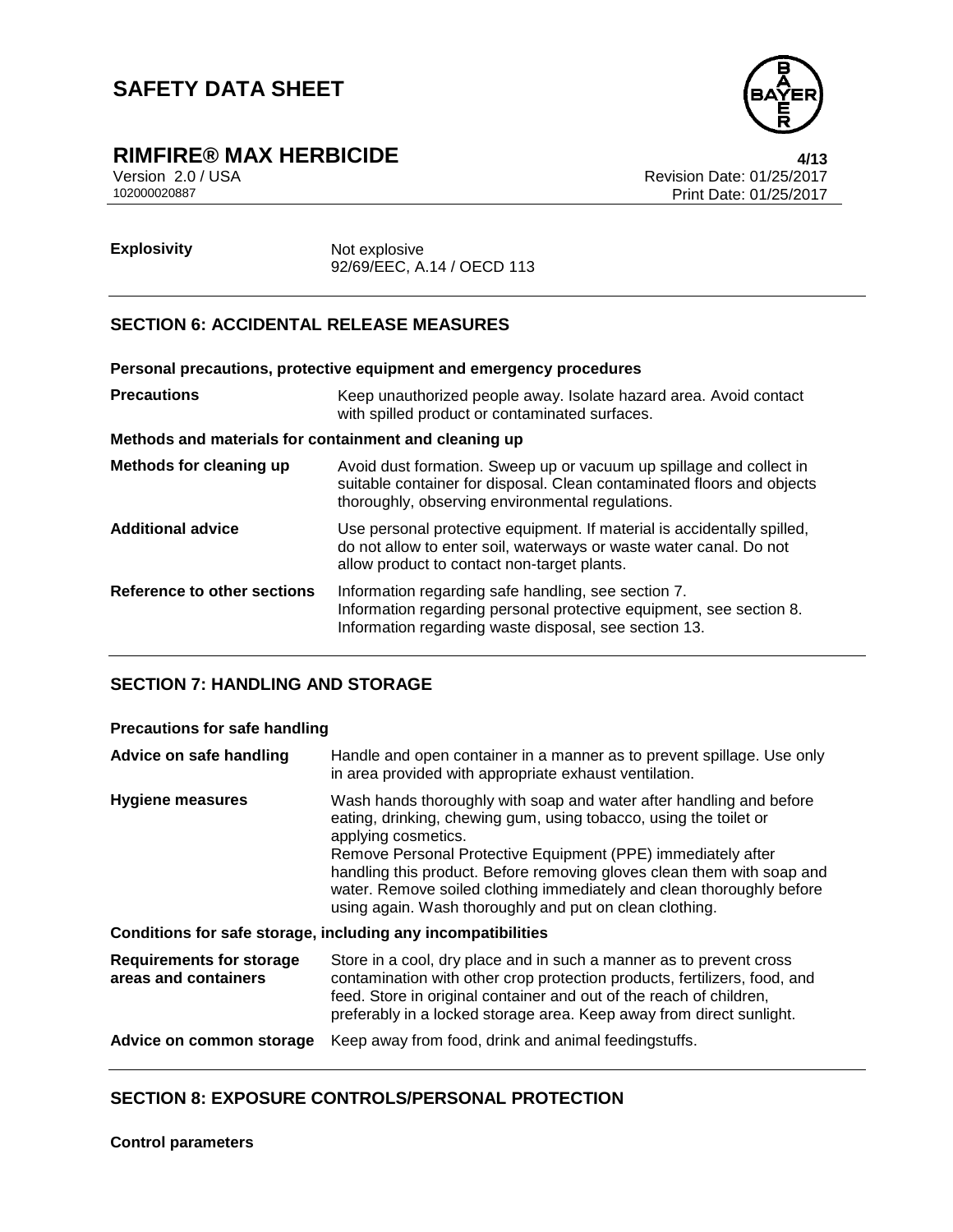

# **RIMFIRE® MAX HERBICIDE**<br>Version 2.0 / USA **Addition** Version 2.0 / USA

Version 2.0 / USA Revision Date: 01/25/2017<br>102000020887<br>Print Date: 01/25/2017 Print Date: 01/25/2017

**Explosivity** Not explosive 92/69/EEC, A.14 / OECD 113

### **SECTION 6: ACCIDENTAL RELEASE MEASURES**

|                                                       | Personal precautions, protective equipment and emergency procedures                                                                                                                               |  |
|-------------------------------------------------------|---------------------------------------------------------------------------------------------------------------------------------------------------------------------------------------------------|--|
| <b>Precautions</b>                                    | Keep unauthorized people away. Isolate hazard area. Avoid contact<br>with spilled product or contaminated surfaces.                                                                               |  |
| Methods and materials for containment and cleaning up |                                                                                                                                                                                                   |  |
| Methods for cleaning up                               | Avoid dust formation. Sweep up or vacuum up spillage and collect in<br>suitable container for disposal. Clean contaminated floors and objects<br>thoroughly, observing environmental regulations. |  |
| <b>Additional advice</b>                              | Use personal protective equipment. If material is accidentally spilled,<br>do not allow to enter soil, waterways or waste water canal. Do not<br>allow product to contact non-target plants.      |  |
| Reference to other sections                           | Information regarding safe handling, see section 7.<br>Information regarding personal protective equipment, see section 8.<br>Information regarding waste disposal, see section 13.               |  |

### **SECTION 7: HANDLING AND STORAGE**

| <b>Precautions for safe handling</b>                         |                                                                                                                                                                                                                                                                                                                                                                                                                                               |  |
|--------------------------------------------------------------|-----------------------------------------------------------------------------------------------------------------------------------------------------------------------------------------------------------------------------------------------------------------------------------------------------------------------------------------------------------------------------------------------------------------------------------------------|--|
| Advice on safe handling                                      | Handle and open container in a manner as to prevent spillage. Use only<br>in area provided with appropriate exhaust ventilation.                                                                                                                                                                                                                                                                                                              |  |
| <b>Hygiene measures</b>                                      | Wash hands thoroughly with soap and water after handling and before<br>eating, drinking, chewing gum, using tobacco, using the toilet or<br>applying cosmetics.<br>Remove Personal Protective Equipment (PPE) immediately after<br>handling this product. Before removing gloves clean them with soap and<br>water. Remove soiled clothing immediately and clean thoroughly before<br>using again. Wash thoroughly and put on clean clothing. |  |
| Conditions for safe storage, including any incompatibilities |                                                                                                                                                                                                                                                                                                                                                                                                                                               |  |
| <b>Requirements for storage</b><br>areas and containers      | Store in a cool, dry place and in such a manner as to prevent cross<br>contamination with other crop protection products, fertilizers, food, and<br>feed. Store in original container and out of the reach of children,<br>preferably in a locked storage area. Keep away from direct sunlight.                                                                                                                                               |  |
| Advice on common storage                                     | Keep away from food, drink and animal feedingstuffs.                                                                                                                                                                                                                                                                                                                                                                                          |  |

### **SECTION 8: EXPOSURE CONTROLS/PERSONAL PROTECTION**

**Control parameters**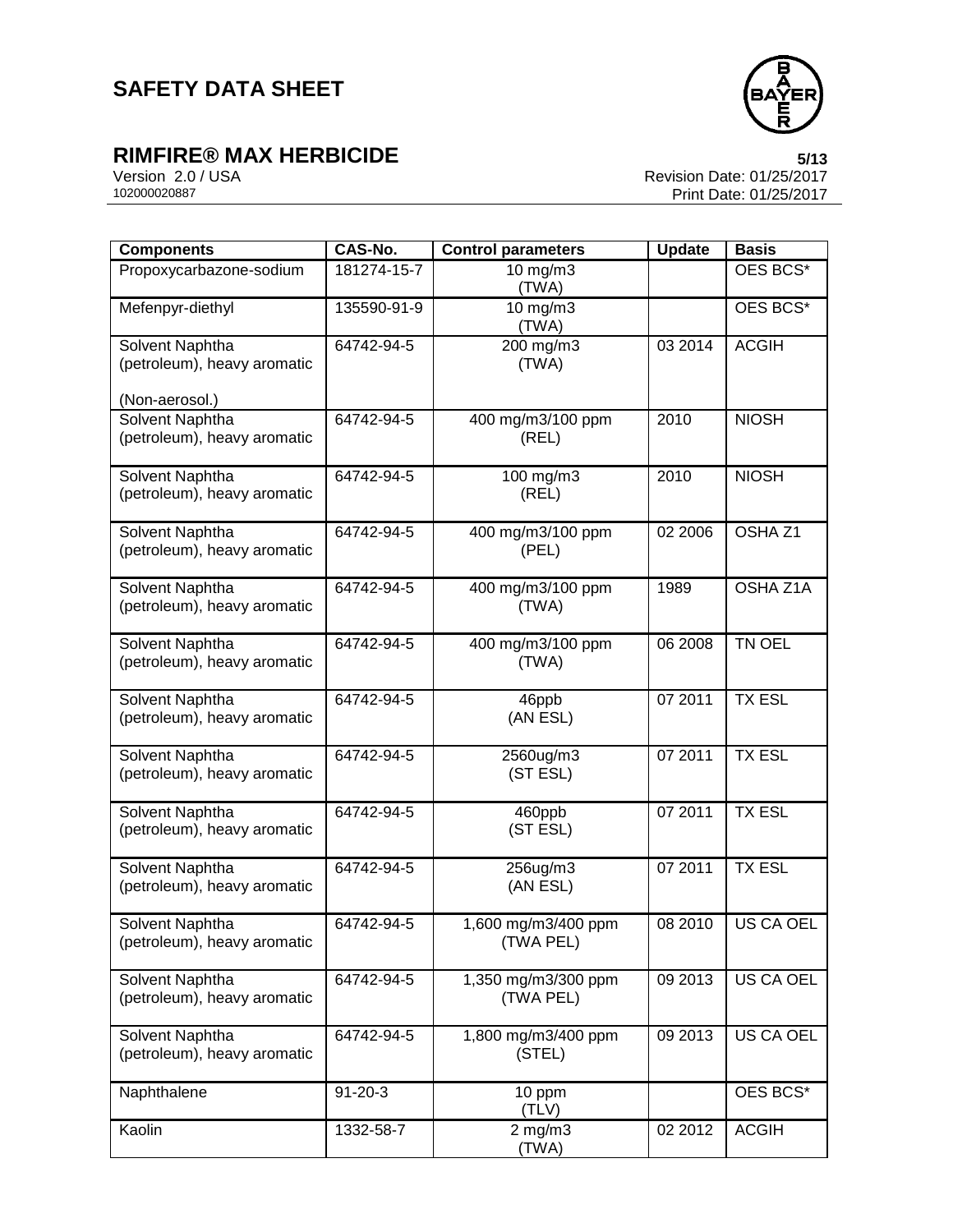

# **RIMFIRE® MAX HERBICIDE**<br>Version 2.0 / USA **by Case 1/25/2017**<br>Revision Date: 01/25/2017

Version 2.0 / USA Revision Date: 01/25/2017<br>102000020887<br>Print Date: 01/25/2017 Print Date: 01/25/2017

| <b>Components</b>                                                | CAS-No.       | <b>Control parameters</b>        | <b>Update</b> | <b>Basis</b>       |
|------------------------------------------------------------------|---------------|----------------------------------|---------------|--------------------|
| Propoxycarbazone-sodium                                          | 181274-15-7   | 10 mg/m3<br>(TWA)                |               | OES BCS*           |
| Mefenpyr-diethyl                                                 | 135590-91-9   | 10 mg/m3<br>(TWA)                |               | OES BCS*           |
| Solvent Naphtha<br>(petroleum), heavy aromatic<br>(Non-aerosol.) | 64742-94-5    | 200 mg/m3<br>(TWA)               | 03 2014       | <b>ACGIH</b>       |
| Solvent Naphtha<br>(petroleum), heavy aromatic                   | 64742-94-5    | 400 mg/m3/100 ppm<br>(REL)       | 2010          | <b>NIOSH</b>       |
| Solvent Naphtha<br>(petroleum), heavy aromatic                   | 64742-94-5    | 100 mg/m3<br>(REL)               | 2010          | <b>NIOSH</b>       |
| Solvent Naphtha<br>(petroleum), heavy aromatic                   | 64742-94-5    | 400 mg/m3/100 ppm<br>(PEL)       | 02 2006       | OSHA <sub>Z1</sub> |
| Solvent Naphtha<br>(petroleum), heavy aromatic                   | 64742-94-5    | 400 mg/m3/100 ppm<br>(TWA)       | 1989          | OSHA Z1A           |
| Solvent Naphtha<br>(petroleum), heavy aromatic                   | 64742-94-5    | 400 mg/m3/100 ppm<br>(TWA)       | 06 2008       | <b>TN OEL</b>      |
| Solvent Naphtha<br>(petroleum), heavy aromatic                   | 64742-94-5    | 46ppb<br>(AN ESL)                | 07 2011       | <b>TX ESL</b>      |
| Solvent Naphtha<br>(petroleum), heavy aromatic                   | 64742-94-5    | 2560ug/m3<br>(ST ESL)            | 07 2011       | <b>TX ESL</b>      |
| Solvent Naphtha<br>(petroleum), heavy aromatic                   | 64742-94-5    | 460ppb<br>(ST ESL)               | 07 2011       | <b>TX ESL</b>      |
| <b>Solvent Naphtha</b><br>(petroleum), heavy aromatic            | 64742-94-5    | 256ug/m3<br>(AN ESL)             | 07 2011       | <b>TX ESL</b>      |
| Solvent Naphtha<br>(petroleum), heavy aromatic                   | 64742-94-5    | 1,600 mg/m3/400 ppm<br>(TWA PEL) | 08 2010       | <b>US CA OEL</b>   |
| Solvent Naphtha<br>(petroleum), heavy aromatic                   | 64742-94-5    | 1,350 mg/m3/300 ppm<br>(TWA PEL) | 09 2013       | US CA OEL          |
| Solvent Naphtha<br>(petroleum), heavy aromatic                   | 64742-94-5    | 1,800 mg/m3/400 ppm<br>(STEL)    | 09 2013       | US CA OEL          |
| Naphthalene                                                      | $91 - 20 - 3$ | 10 ppm<br>(TLV)                  |               | OES BCS*           |
| Kaolin                                                           | 1332-58-7     | $2$ mg/m $3$<br>(TWA)            | 02 2012       | <b>ACGIH</b>       |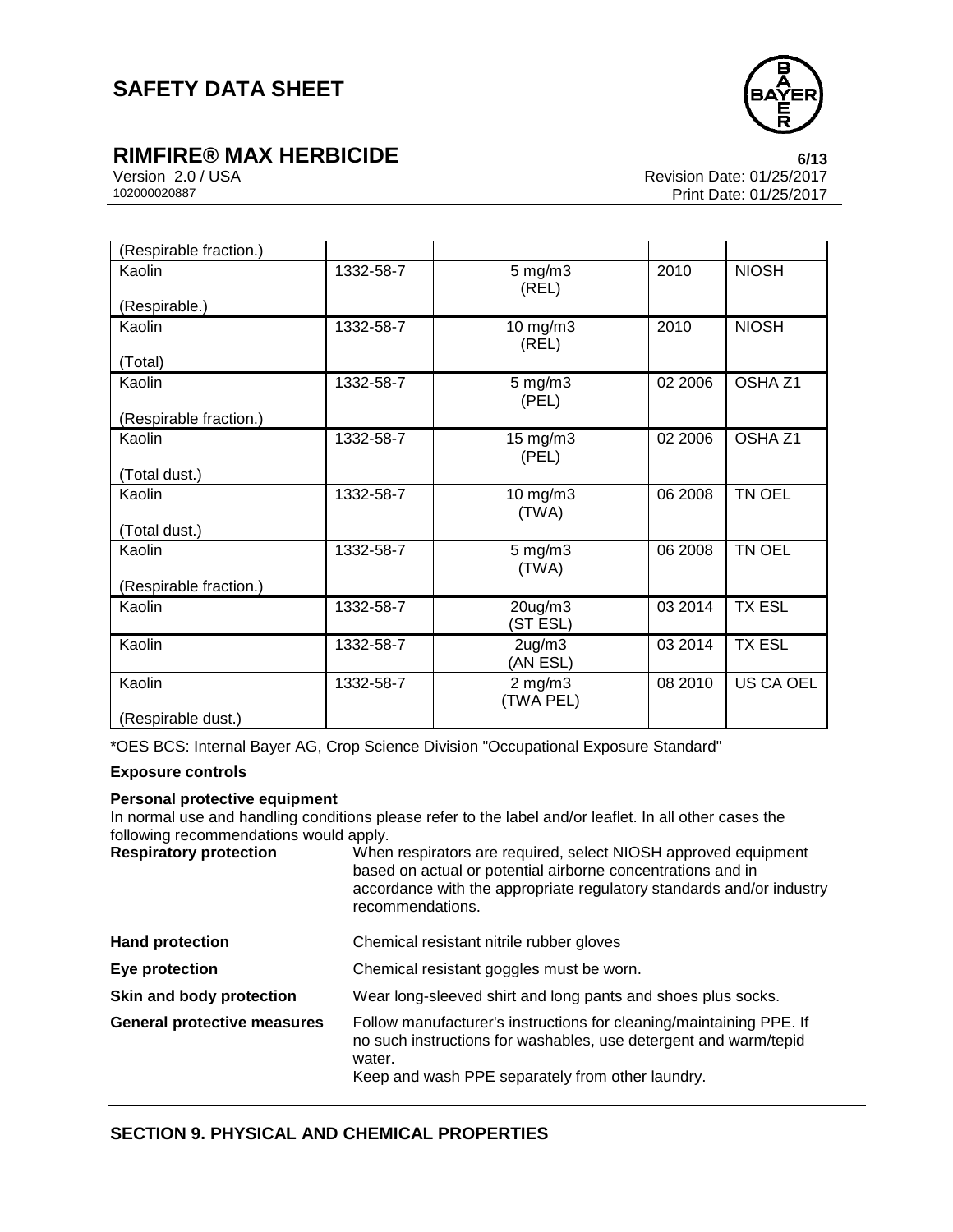

# **RIMFIRE® MAX HERBICIDE**<br>Version 2.0 / USA **CONTRIGENT MAX CONTRIGUING**<br>Revision Date: 01/25/2017

Version 2.0 / USA Revision Date: 01/25/2017<br>102000020887<br>Print Date: 01/25/2017 Print Date: 01/25/2017

| (Respirable fraction.)  |           |                       |         |                    |
|-------------------------|-----------|-----------------------|---------|--------------------|
| Kaolin<br>(Respirable.) | 1332-58-7 | $5$ mg/m $3$<br>(REL) | 2010    | <b>NIOSH</b>       |
| Kaolin                  | 1332-58-7 | 10 mg/m3              | 2010    | <b>NIOSH</b>       |
|                         |           | (REL)                 |         |                    |
| (Total)                 |           |                       |         |                    |
| Kaolin                  | 1332-58-7 | $5$ mg/m $3$          | 02 2006 | OSHA <sub>Z1</sub> |
|                         |           | (PEL)                 |         |                    |
| (Respirable fraction.)  |           |                       |         |                    |
| Kaolin                  | 1332-58-7 | 15 mg/m3              | 02 2006 | OSHA <sub>Z1</sub> |
|                         |           | (PEL)                 |         |                    |
| (Total dust.)           |           |                       |         |                    |
| Kaolin                  | 1332-58-7 | 10 mg/m3              | 06 2008 | TN OEL             |
|                         |           | (TWA)                 |         |                    |
| (Total dust.)           |           |                       |         |                    |
| Kaolin                  | 1332-58-7 | $5$ mg/m $3$          | 06 2008 | TN OEL             |
|                         |           | (TWA)                 |         |                    |
| (Respirable fraction.)  |           |                       |         |                    |
| Kaolin                  | 1332-58-7 | $20$ ug/m $3$         | 03 2014 | <b>TX ESL</b>      |
|                         |           | (ST ESL)              |         |                    |
| Kaolin                  | 1332-58-7 | $2$ ug/m $3$          | 03 2014 | <b>TX ESL</b>      |
|                         |           | (AN ESL)              |         |                    |
| Kaolin                  | 1332-58-7 | $2$ mg/m $3$          | 08 2010 | US CA OEL          |
|                         |           | (TWA PEL)             |         |                    |
| (Respirable dust.)      |           |                       |         |                    |

\*OES BCS: Internal Bayer AG, Crop Science Division "Occupational Exposure Standard"

### **Exposure controls**

#### **Personal protective equipment**

In normal use and handling conditions please refer to the label and/or leaflet. In all other cases the following recommendations would apply.

| <b>Respiratory protection</b>      | When respirators are required, select NIOSH approved equipment<br>based on actual or potential airborne concentrations and in<br>accordance with the appropriate regulatory standards and/or industry<br>recommendations. |  |  |
|------------------------------------|---------------------------------------------------------------------------------------------------------------------------------------------------------------------------------------------------------------------------|--|--|
| <b>Hand protection</b>             | Chemical resistant nitrile rubber gloves                                                                                                                                                                                  |  |  |
| Eye protection                     | Chemical resistant goggles must be worn.                                                                                                                                                                                  |  |  |
| Skin and body protection           | Wear long-sleeved shirt and long pants and shoes plus socks.                                                                                                                                                              |  |  |
| <b>General protective measures</b> | Follow manufacturer's instructions for cleaning/maintaining PPE. If<br>no such instructions for washables, use detergent and warm/tepid<br>water.<br>Keep and wash PPE separately from other laundry.                     |  |  |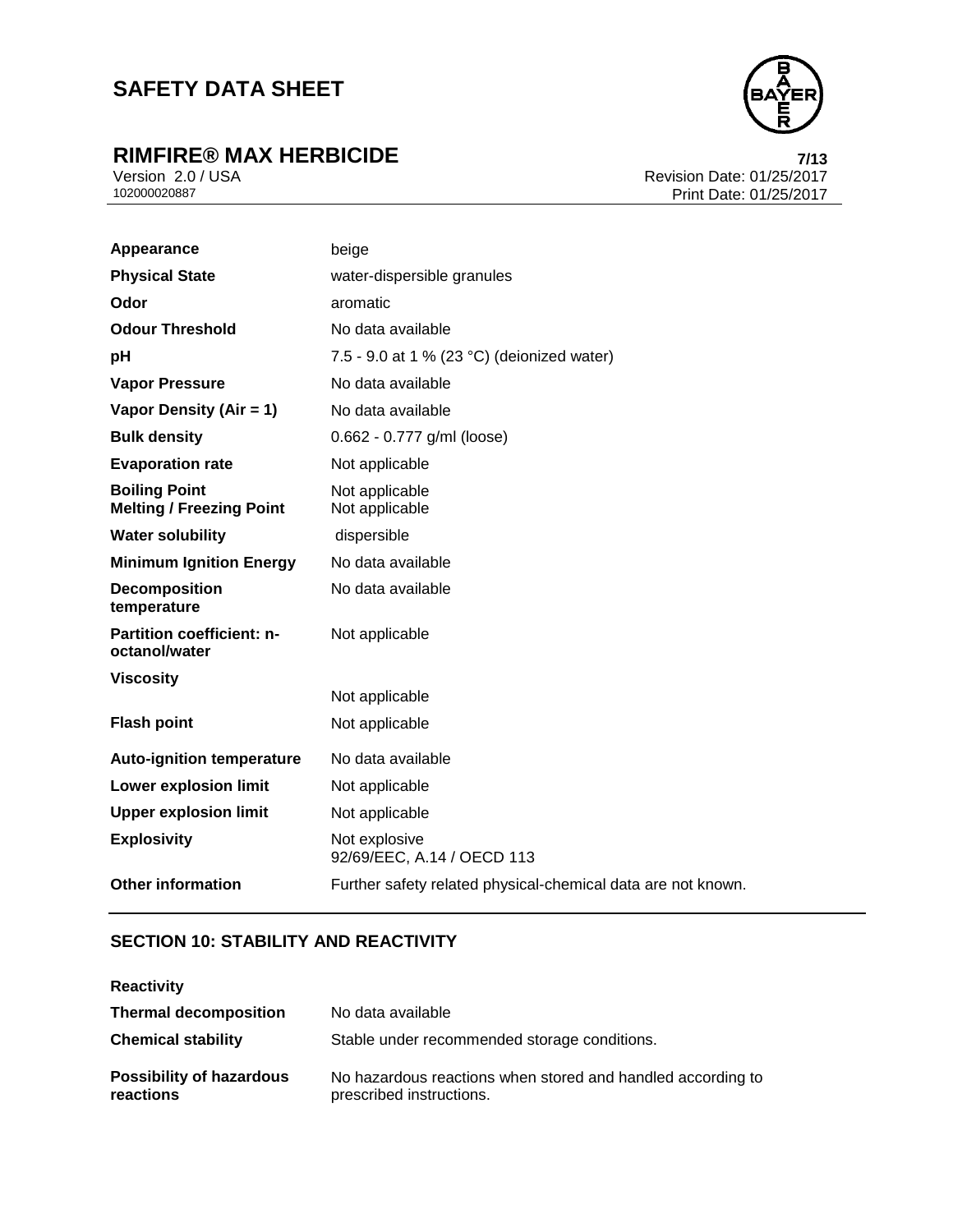# **RIMFIRE® MAX HERBICIDE 7/13**



Version 2.0 / USA Revision Date: 01/25/2017<br>102000020887<br>Print Date: 01/25/2017 Print Date: 01/25/2017

| Appearance                                              | beige                                                        |
|---------------------------------------------------------|--------------------------------------------------------------|
| <b>Physical State</b>                                   | water-dispersible granules                                   |
| Odor                                                    | aromatic                                                     |
| <b>Odour Threshold</b>                                  | No data available                                            |
| pH                                                      | 7.5 - 9.0 at 1 % (23 °C) (deionized water)                   |
| <b>Vapor Pressure</b>                                   | No data available                                            |
| Vapor Density (Air = 1)                                 | No data available                                            |
| <b>Bulk density</b>                                     | 0.662 - 0.777 g/ml (loose)                                   |
| <b>Evaporation rate</b>                                 | Not applicable                                               |
| <b>Boiling Point</b><br><b>Melting / Freezing Point</b> | Not applicable<br>Not applicable                             |
| <b>Water solubility</b>                                 | dispersible                                                  |
| <b>Minimum Ignition Energy</b>                          | No data available                                            |
| <b>Decomposition</b><br>temperature                     | No data available                                            |
| Partition coefficient: n-<br>octanol/water              | Not applicable                                               |
| <b>Viscosity</b>                                        |                                                              |
|                                                         | Not applicable                                               |
| <b>Flash point</b>                                      | Not applicable                                               |
| <b>Auto-ignition temperature</b>                        | No data available                                            |
| <b>Lower explosion limit</b>                            | Not applicable                                               |
| <b>Upper explosion limit</b>                            | Not applicable                                               |
| <b>Explosivity</b>                                      | Not explosive<br>92/69/EEC, A.14 / OECD 113                  |
| <b>Other information</b>                                | Further safety related physical-chemical data are not known. |

## **SECTION 10: STABILITY AND REACTIVITY**

| <b>Reactivity</b>                            |                                                                                         |
|----------------------------------------------|-----------------------------------------------------------------------------------------|
| <b>Thermal decomposition</b>                 | No data available                                                                       |
| <b>Chemical stability</b>                    | Stable under recommended storage conditions.                                            |
| <b>Possibility of hazardous</b><br>reactions | No hazardous reactions when stored and handled according to<br>prescribed instructions. |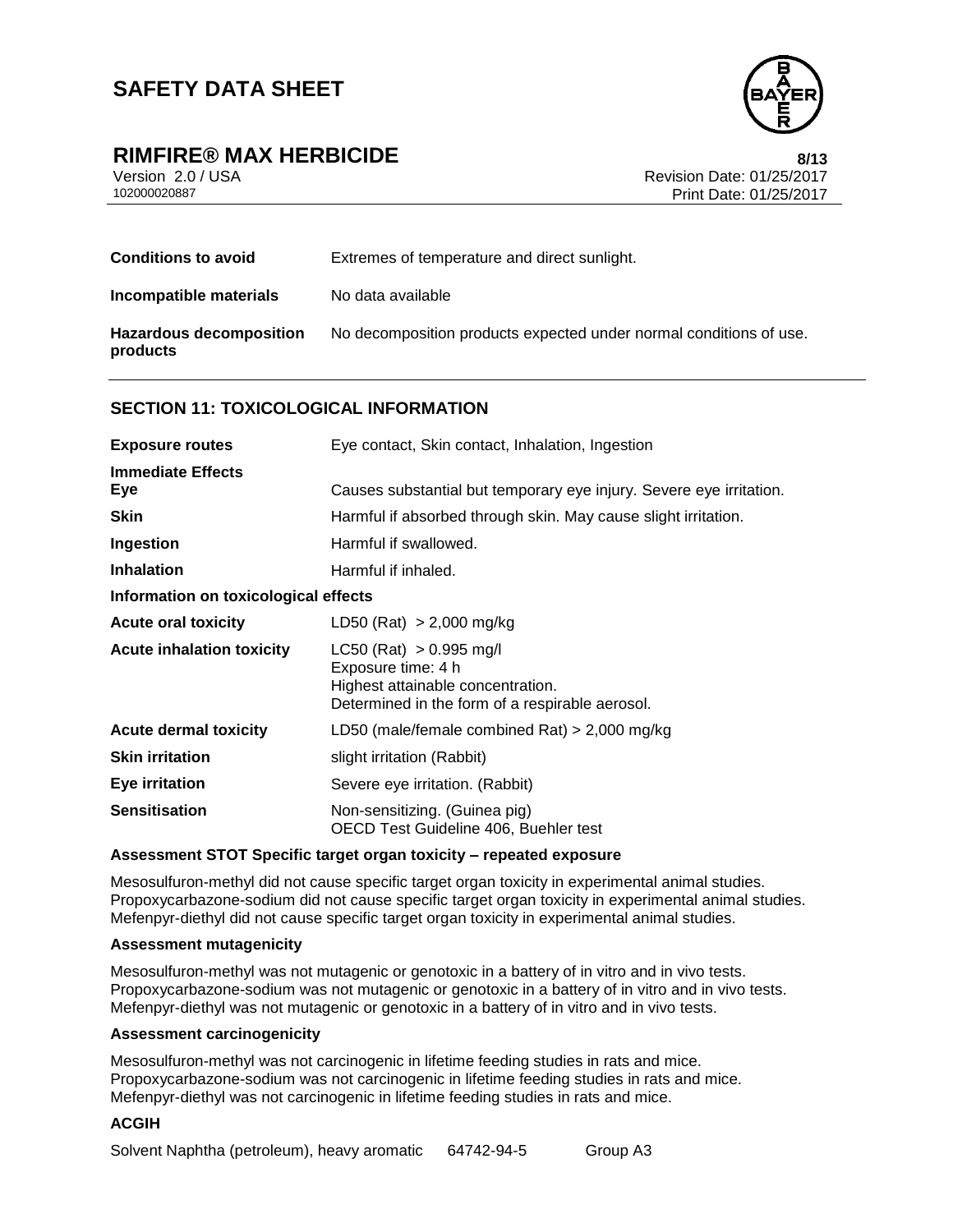

## **RIMFIRE® MAX HERBICIDE 8/13**

Version 2.0 / USA Revision Date: 01/25/2017<br>102000020887<br>Print Date: 01/25/2017 Print Date: 01/25/2017

| <b>Conditions to avoid</b>                 | Extremes of temperature and direct sunlight.                       |
|--------------------------------------------|--------------------------------------------------------------------|
| Incompatible materials                     | No data available                                                  |
| <b>Hazardous decomposition</b><br>products | No decomposition products expected under normal conditions of use. |

#### **SECTION 11: TOXICOLOGICAL INFORMATION**

| <b>Exposure routes</b>               | Eye contact, Skin contact, Inhalation, Ingestion                                                                                          |  |  |
|--------------------------------------|-------------------------------------------------------------------------------------------------------------------------------------------|--|--|
| <b>Immediate Effects</b><br>Eye      | Causes substantial but temporary eye injury. Severe eye irritation.                                                                       |  |  |
| <b>Skin</b>                          | Harmful if absorbed through skin. May cause slight irritation.                                                                            |  |  |
| Ingestion                            | Harmful if swallowed.                                                                                                                     |  |  |
| <b>Inhalation</b>                    | Harmful if inhaled.                                                                                                                       |  |  |
| Information on toxicological effects |                                                                                                                                           |  |  |
| <b>Acute oral toxicity</b>           | LD50 (Rat) > 2,000 mg/kg                                                                                                                  |  |  |
| <b>Acute inhalation toxicity</b>     | $LC50$ (Rat) $> 0.995$ mg/l<br>Exposure time: 4 h<br>Highest attainable concentration.<br>Determined in the form of a respirable aerosol. |  |  |
| <b>Acute dermal toxicity</b>         | LD50 (male/female combined Rat) $> 2,000$ mg/kg                                                                                           |  |  |
| <b>Skin irritation</b>               | slight irritation (Rabbit)                                                                                                                |  |  |
| <b>Eye irritation</b>                | Severe eye irritation. (Rabbit)                                                                                                           |  |  |
| <b>Sensitisation</b>                 | Non-sensitizing. (Guinea pig)<br>OECD Test Guideline 406, Buehler test                                                                    |  |  |

#### **Assessment STOT Specific target organ toxicity – repeated exposure**

Mesosulfuron-methyl did not cause specific target organ toxicity in experimental animal studies. Propoxycarbazone-sodium did not cause specific target organ toxicity in experimental animal studies. Mefenpyr-diethyl did not cause specific target organ toxicity in experimental animal studies.

#### **Assessment mutagenicity**

Mesosulfuron-methyl was not mutagenic or genotoxic in a battery of in vitro and in vivo tests. Propoxycarbazone-sodium was not mutagenic or genotoxic in a battery of in vitro and in vivo tests. Mefenpyr-diethyl was not mutagenic or genotoxic in a battery of in vitro and in vivo tests.

#### **Assessment carcinogenicity**

Mesosulfuron-methyl was not carcinogenic in lifetime feeding studies in rats and mice. Propoxycarbazone-sodium was not carcinogenic in lifetime feeding studies in rats and mice. Mefenpyr-diethyl was not carcinogenic in lifetime feeding studies in rats and mice.

#### **ACGIH**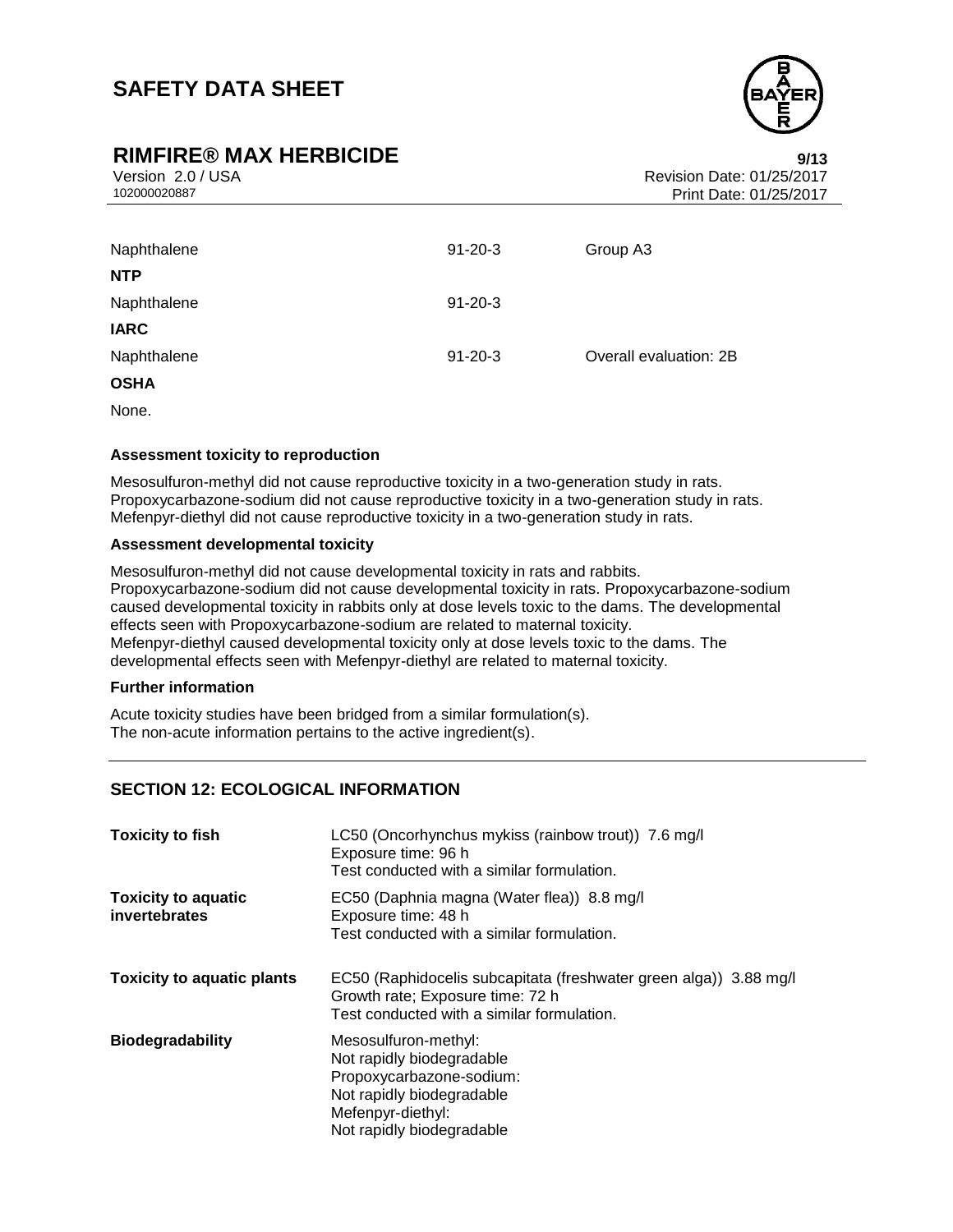## **RIMFIRE® MAX HERBICIDE 9/13**



Version 2.0 / USA Revision Date: 01/25/2017<br>102000020887<br>Print Date: 01/25/2017 Print Date: 01/25/2017

| $91 - 20 - 3$ | Group A3               |
|---------------|------------------------|
|               |                        |
| $91 - 20 - 3$ |                        |
|               |                        |
| $91 - 20 - 3$ | Overall evaluation: 2B |
|               |                        |
|               |                        |

None.

#### **Assessment toxicity to reproduction**

Mesosulfuron-methyl did not cause reproductive toxicity in a two-generation study in rats. Propoxycarbazone-sodium did not cause reproductive toxicity in a two-generation study in rats. Mefenpyr-diethyl did not cause reproductive toxicity in a two-generation study in rats.

#### **Assessment developmental toxicity**

Mesosulfuron-methyl did not cause developmental toxicity in rats and rabbits. Propoxycarbazone-sodium did not cause developmental toxicity in rats. Propoxycarbazone-sodium caused developmental toxicity in rabbits only at dose levels toxic to the dams. The developmental effects seen with Propoxycarbazone-sodium are related to maternal toxicity. Mefenpyr-diethyl caused developmental toxicity only at dose levels toxic to the dams. The developmental effects seen with Mefenpyr-diethyl are related to maternal toxicity.

#### **Further information**

Acute toxicity studies have been bridged from a similar formulation(s). The non-acute information pertains to the active ingredient(s).

### **SECTION 12: ECOLOGICAL INFORMATION**

| <b>Toxicity to fish</b>                     | LC50 (Oncorhynchus mykiss (rainbow trout)) 7.6 mg/l<br>Exposure time: 96 h<br>Test conducted with a similar formulation.                                     |
|---------------------------------------------|--------------------------------------------------------------------------------------------------------------------------------------------------------------|
| <b>Toxicity to aquatic</b><br>invertebrates | EC50 (Daphnia magna (Water flea)) 8.8 mg/l<br>Exposure time: 48 h<br>Test conducted with a similar formulation.                                              |
| <b>Toxicity to aquatic plants</b>           | EC50 (Raphidocelis subcapitata (freshwater green alga)) 3.88 mg/l<br>Growth rate; Exposure time: 72 h<br>Test conducted with a similar formulation.          |
| <b>Biodegradability</b>                     | Mesosulfuron-methyl:<br>Not rapidly biodegradable<br>Propoxycarbazone-sodium:<br>Not rapidly biodegradable<br>Mefenpyr-diethyl:<br>Not rapidly biodegradable |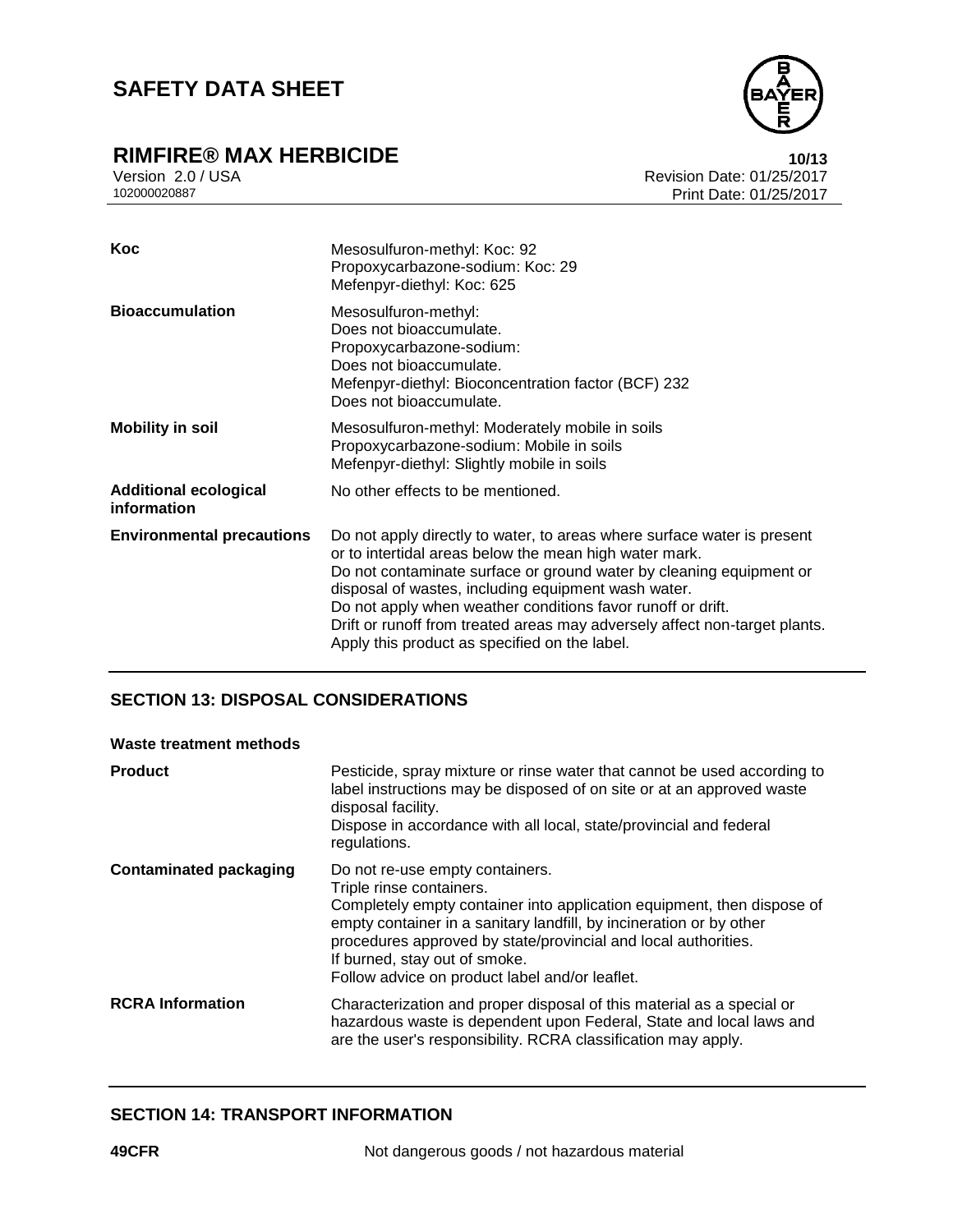# **RIMFIRE® MAX HERBICIDE**<br>Version 2.0/USA **10/13**<br>Revision Date: 01/25/2017



Version 2.0 / USA Revision Date: 01/25/2017<br>102000020887<br>Print Date: 01/25/2017 Print Date: 01/25/2017

| Koc                                         | Mesosulfuron-methyl: Koc: 92<br>Propoxycarbazone-sodium: Koc: 29<br>Mefenpyr-diethyl: Koc: 625                                                                                                                                                                                                                                                                                                                                                                |
|---------------------------------------------|---------------------------------------------------------------------------------------------------------------------------------------------------------------------------------------------------------------------------------------------------------------------------------------------------------------------------------------------------------------------------------------------------------------------------------------------------------------|
| <b>Bioaccumulation</b>                      | Mesosulfuron-methyl:<br>Does not bioaccumulate.<br>Propoxycarbazone-sodium:<br>Does not bioaccumulate.<br>Mefenpyr-diethyl: Bioconcentration factor (BCF) 232<br>Does not bioaccumulate.                                                                                                                                                                                                                                                                      |
| <b>Mobility in soil</b>                     | Mesosulfuron-methyl: Moderately mobile in soils<br>Propoxycarbazone-sodium: Mobile in soils<br>Mefenpyr-diethyl: Slightly mobile in soils                                                                                                                                                                                                                                                                                                                     |
| <b>Additional ecological</b><br>information | No other effects to be mentioned.                                                                                                                                                                                                                                                                                                                                                                                                                             |
| <b>Environmental precautions</b>            | Do not apply directly to water, to areas where surface water is present<br>or to intertidal areas below the mean high water mark.<br>Do not contaminate surface or ground water by cleaning equipment or<br>disposal of wastes, including equipment wash water.<br>Do not apply when weather conditions favor runoff or drift.<br>Drift or runoff from treated areas may adversely affect non-target plants.<br>Apply this product as specified on the label. |

### **SECTION 13: DISPOSAL CONSIDERATIONS**

| Waste treatment methods       |                                                                                                                                                                                                                                                                                                                                                                   |
|-------------------------------|-------------------------------------------------------------------------------------------------------------------------------------------------------------------------------------------------------------------------------------------------------------------------------------------------------------------------------------------------------------------|
| Product                       | Pesticide, spray mixture or rinse water that cannot be used according to<br>label instructions may be disposed of on site or at an approved waste<br>disposal facility.<br>Dispose in accordance with all local, state/provincial and federal<br>regulations.                                                                                                     |
| <b>Contaminated packaging</b> | Do not re-use empty containers.<br>Triple rinse containers.<br>Completely empty container into application equipment, then dispose of<br>empty container in a sanitary landfill, by incineration or by other<br>procedures approved by state/provincial and local authorities.<br>If burned, stay out of smoke.<br>Follow advice on product label and/or leaflet. |
| <b>RCRA Information</b>       | Characterization and proper disposal of this material as a special or<br>hazardous waste is dependent upon Federal, State and local laws and<br>are the user's responsibility. RCRA classification may apply.                                                                                                                                                     |

#### **SECTION 14: TRANSPORT INFORMATION**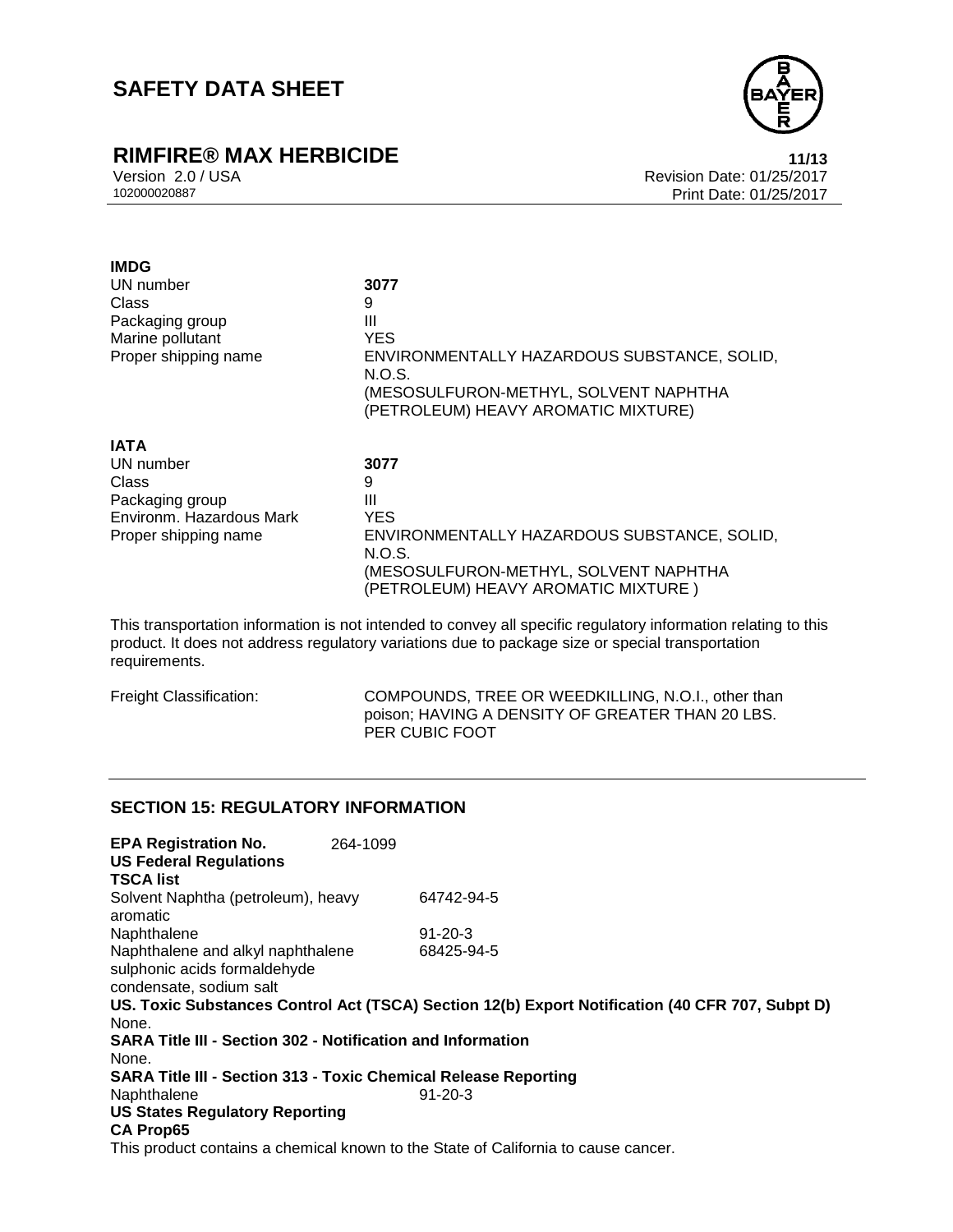# **RIMFIRE® MAX HERBICIDE**<br>Version 2.0/USA **11/13**<br>Revision Date: 01/25/2017



Version 2.0 / USA Revision Date: 01/25/2017<br>102000020887<br>Print Date: 01/25/2017 Print Date: 01/25/2017

| <b>IMDG</b>              |                                                       |
|--------------------------|-------------------------------------------------------|
| UN number                | 3077                                                  |
| Class                    | 9                                                     |
| Packaging group          | Ш                                                     |
| Marine pollutant         | <b>YES</b>                                            |
| Proper shipping name     | ENVIRONMENTALLY HAZARDOUS SUBSTANCE, SOLID,<br>N.O.S. |
|                          | (MESOSULFURON-METHYL, SOLVENT NAPHTHA                 |
|                          | (PETROLEUM) HEAVY AROMATIC MIXTURE)                   |
| <b>IATA</b>              |                                                       |
| UN number                | 3077                                                  |
| Class                    | 9                                                     |
| Packaging group          | Ш                                                     |
| Environm. Hazardous Mark | <b>YES</b>                                            |
| Proper shipping name     | ENVIRONMENTALLY HAZARDOUS SUBSTANCE, SOLID,<br>N.O.S. |
|                          | (MESOSULFURON-METHYL, SOLVENT NAPHTHA                 |
|                          | (PETROLEUM) HEAVY AROMATIC MIXTURE )                  |

This transportation information is not intended to convey all specific regulatory information relating to this product. It does not address regulatory variations due to package size or special transportation requirements.

Freight Classification: COMPOUNDS, TREE OR WEEDKILLING, N.O.I., other than poison; HAVING A DENSITY OF GREATER THAN 20 LBS. PER CUBIC FOOT

## **SECTION 15: REGULATORY INFORMATION**

| <b>EPA Registration No.</b>                                                                  | 264-1099 |                                                                                                 |
|----------------------------------------------------------------------------------------------|----------|-------------------------------------------------------------------------------------------------|
| <b>US Federal Regulations</b>                                                                |          |                                                                                                 |
| TSCA list                                                                                    |          |                                                                                                 |
| Solvent Naphtha (petroleum), heavy<br>aromatic                                               |          | 64742-94-5                                                                                      |
| Naphthalene                                                                                  |          | $91 - 20 - 3$                                                                                   |
| Naphthalene and alkyl naphthalene<br>sulphonic acids formaldehyde<br>condensate, sodium salt |          | 68425-94-5                                                                                      |
|                                                                                              |          | US. Toxic Substances Control Act (TSCA) Section 12(b) Export Notification (40 CFR 707, Subpt D) |
| None.                                                                                        |          |                                                                                                 |
| SARA Title III - Section 302 - Notification and Information                                  |          |                                                                                                 |
| None.                                                                                        |          |                                                                                                 |
| <b>SARA Title III - Section 313 - Toxic Chemical Release Reporting</b>                       |          |                                                                                                 |
| Naphthalene                                                                                  |          | $91 - 20 - 3$                                                                                   |
| <b>US States Regulatory Reporting</b>                                                        |          |                                                                                                 |
| <b>CA Prop65</b>                                                                             |          |                                                                                                 |
|                                                                                              |          | This product contains a chemical known to the State of California to cause cancer.              |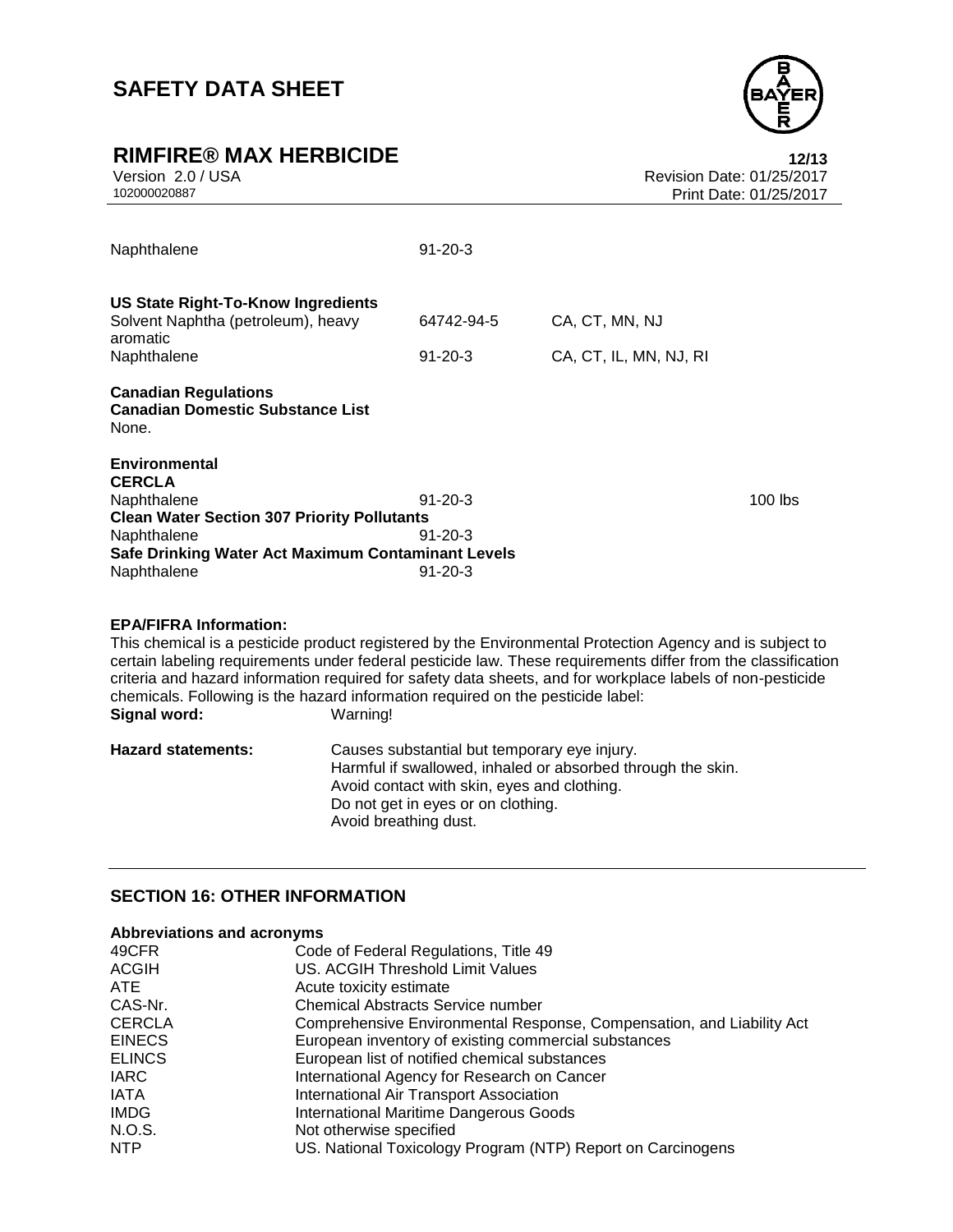

# **RIMFIRE® MAX HERBICIDE**<br>Version 2.0 / USA **12/13**<br>Revision Date: 01/25/2017

| Naphthalene                                                                                                                                                                             | $91 - 20 - 3$                                   |                                          |           |
|-----------------------------------------------------------------------------------------------------------------------------------------------------------------------------------------|-------------------------------------------------|------------------------------------------|-----------|
| US State Right-To-Know Ingredients<br>Solvent Naphtha (petroleum), heavy<br>aromatic<br>Naphthalene                                                                                     | 64742-94-5<br>$91 - 20 - 3$                     | CA, CT, MN, NJ<br>CA, CT, IL, MN, NJ, RI |           |
| <b>Canadian Regulations</b><br><b>Canadian Domestic Substance List</b><br>None.                                                                                                         |                                                 |                                          |           |
| Environmental<br><b>CERCLA</b><br>Naphthalene<br><b>Clean Water Section 307 Priority Pollutants</b><br>Naphthalene<br>Safe Drinking Water Act Maximum Contaminant Levels<br>Naphthalene | $91 - 20 - 3$<br>$91 - 20 - 3$<br>$91 - 20 - 3$ |                                          | $100$ lbs |

#### **EPA/FIFRA Information:**

This chemical is a pesticide product registered by the Environmental Protection Agency and is subject to certain labeling requirements under federal pesticide law. These requirements differ from the classification criteria and hazard information required for safety data sheets, and for workplace labels of non-pesticide chemicals. Following is the hazard information required on the pesticide label:<br>Signal word: Warning! **Signal word:** 

| <b>Hazard statements:</b> | Causes substantial but temporary eye injury.<br>Harmful if swallowed, inhaled or absorbed through the skin.<br>Avoid contact with skin, eyes and clothing.<br>Do not get in eyes or on clothing. |
|---------------------------|--------------------------------------------------------------------------------------------------------------------------------------------------------------------------------------------------|
|                           | Avoid breathing dust.                                                                                                                                                                            |

### **SECTION 16: OTHER INFORMATION**

#### **Abbreviations and acronyms**

| 49CFR         | Code of Federal Regulations, Title 49                                 |
|---------------|-----------------------------------------------------------------------|
| <b>ACGIH</b>  | <b>US. ACGIH Threshold Limit Values</b>                               |
| <b>ATE</b>    | Acute toxicity estimate                                               |
| CAS-Nr.       | <b>Chemical Abstracts Service number</b>                              |
| <b>CERCLA</b> | Comprehensive Environmental Response, Compensation, and Liability Act |
| <b>EINECS</b> | European inventory of existing commercial substances                  |
| <b>ELINCS</b> | European list of notified chemical substances                         |
| <b>IARC</b>   | International Agency for Research on Cancer                           |
| <b>IATA</b>   | International Air Transport Association                               |
| <b>IMDG</b>   | International Maritime Dangerous Goods                                |
| N.O.S.        | Not otherwise specified                                               |
| NTP           | US. National Toxicology Program (NTP) Report on Carcinogens           |